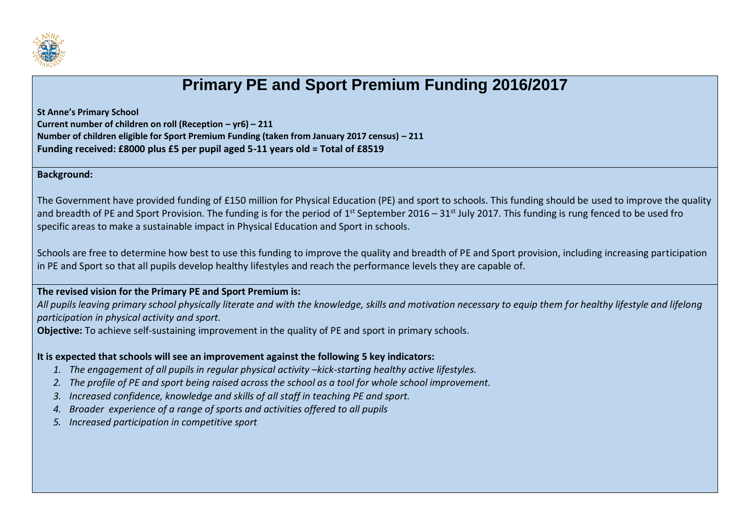

## **Primary PE and Sport Premium Funding 2016/2017**

**St Anne's Primary School**

**Current number of children on roll (Reception – yr6) – 211 Number of children eligible for Sport Premium Funding (taken from January 2017 census) – 211**

**Funding received: £8000 plus £5 per pupil aged 5-11 years old = Total of £8519**

**Background:**

The Government have provided funding of £150 million for Physical Education (PE) and sport to schools. This funding should be used to improve the quality and breadth of PE and Sport Provision. The funding is for the period of 1<sup>st</sup> September 2016 – 31<sup>st</sup> July 2017. This funding is rung fenced to be used fro specific areas to make a sustainable impact in Physical Education and Sport in schools.

Schools are free to determine how best to use this funding to improve the quality and breadth of PE and Sport provision, including increasing participation in PE and Sport so that all pupils develop healthy lifestyles and reach the performance levels they are capable of.

## **The revised vision for the Primary PE and Sport Premium is:**

*All pupils leaving primary school physically literate and with the knowledge, skills and motivation necessary to equip them for healthy lifestyle and lifelong participation in physical activity and sport.* 

**Objective:** To achieve self-sustaining improvement in the quality of PE and sport in primary schools.

## **It is expected that schools will see an improvement against the following 5 key indicators:**

- 1. The engagement of all pupils in regular physical activity –kick-starting healthy active lifestyles.
- *2. The profile of PE and sport being raised across the school as a tool for whole school improvement.*
- *3. Increased confidence, knowledge and skills of all staff in teaching PE and sport.*
- *4. Broader experience of a range of sports and activities offered to all pupils*
- *5. Increased participation in competitive sport*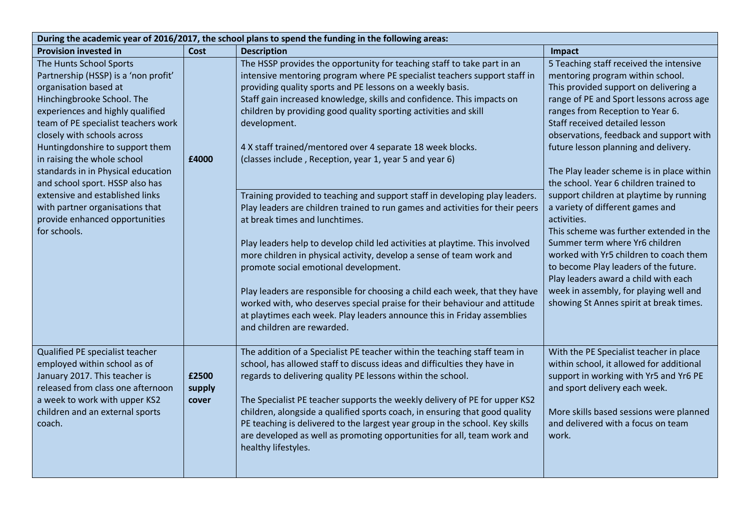| During the academic year of 2016/2017, the school plans to spend the funding in the following areas:                                                                                                                                                                                                                                                                                                                                                                                                |                          |                                                                                                                                                                                                                                                                                                                                                                                                                                                                                                                                                                                                                                                                                                                                                                                                                                                                                                                                                                                                                                                                                                                                                                                   |                                                                                                                                                                                                                                                                                                                                                                                                                                                                                                                                                                                                                                                                                                                                                                                                             |  |  |
|-----------------------------------------------------------------------------------------------------------------------------------------------------------------------------------------------------------------------------------------------------------------------------------------------------------------------------------------------------------------------------------------------------------------------------------------------------------------------------------------------------|--------------------------|-----------------------------------------------------------------------------------------------------------------------------------------------------------------------------------------------------------------------------------------------------------------------------------------------------------------------------------------------------------------------------------------------------------------------------------------------------------------------------------------------------------------------------------------------------------------------------------------------------------------------------------------------------------------------------------------------------------------------------------------------------------------------------------------------------------------------------------------------------------------------------------------------------------------------------------------------------------------------------------------------------------------------------------------------------------------------------------------------------------------------------------------------------------------------------------|-------------------------------------------------------------------------------------------------------------------------------------------------------------------------------------------------------------------------------------------------------------------------------------------------------------------------------------------------------------------------------------------------------------------------------------------------------------------------------------------------------------------------------------------------------------------------------------------------------------------------------------------------------------------------------------------------------------------------------------------------------------------------------------------------------------|--|--|
| <b>Provision invested in</b>                                                                                                                                                                                                                                                                                                                                                                                                                                                                        | Cost                     | <b>Description</b>                                                                                                                                                                                                                                                                                                                                                                                                                                                                                                                                                                                                                                                                                                                                                                                                                                                                                                                                                                                                                                                                                                                                                                | Impact                                                                                                                                                                                                                                                                                                                                                                                                                                                                                                                                                                                                                                                                                                                                                                                                      |  |  |
| The Hunts School Sports<br>Partnership (HSSP) is a 'non profit'<br>organisation based at<br>Hinchingbrooke School. The<br>experiences and highly qualified<br>team of PE specialist teachers work<br>closely with schools across<br>Huntingdonshire to support them<br>in raising the whole school<br>standards in in Physical education<br>and school sport. HSSP also has<br>extensive and established links<br>with partner organisations that<br>provide enhanced opportunities<br>for schools. | £4000                    | The HSSP provides the opportunity for teaching staff to take part in an<br>intensive mentoring program where PE specialist teachers support staff in<br>providing quality sports and PE lessons on a weekly basis.<br>Staff gain increased knowledge, skills and confidence. This impacts on<br>children by providing good quality sporting activities and skill<br>development.<br>4 X staff trained/mentored over 4 separate 18 week blocks.<br>(classes include, Reception, year 1, year 5 and year 6)<br>Training provided to teaching and support staff in developing play leaders.<br>Play leaders are children trained to run games and activities for their peers<br>at break times and lunchtimes.<br>Play leaders help to develop child led activities at playtime. This involved<br>more children in physical activity, develop a sense of team work and<br>promote social emotional development.<br>Play leaders are responsible for choosing a child each week, that they have<br>worked with, who deserves special praise for their behaviour and attitude<br>at playtimes each week. Play leaders announce this in Friday assemblies<br>and children are rewarded. | 5 Teaching staff received the intensive<br>mentoring program within school.<br>This provided support on delivering a<br>range of PE and Sport lessons across age<br>ranges from Reception to Year 6.<br>Staff received detailed lesson<br>observations, feedback and support with<br>future lesson planning and delivery.<br>The Play leader scheme is in place within<br>the school. Year 6 children trained to<br>support children at playtime by running<br>a variety of different games and<br>activities.<br>This scheme was further extended in the<br>Summer term where Yr6 children<br>worked with Yr5 children to coach them<br>to become Play leaders of the future.<br>Play leaders award a child with each<br>week in assembly, for playing well and<br>showing St Annes spirit at break times. |  |  |
| Qualified PE specialist teacher<br>employed within school as of<br>January 2017. This teacher is<br>released from class one afternoon<br>a week to work with upper KS2<br>children and an external sports<br>coach.                                                                                                                                                                                                                                                                                 | £2500<br>supply<br>cover | The addition of a Specialist PE teacher within the teaching staff team in<br>school, has allowed staff to discuss ideas and difficulties they have in<br>regards to delivering quality PE lessons within the school.<br>The Specialist PE teacher supports the weekly delivery of PE for upper KS2<br>children, alongside a qualified sports coach, in ensuring that good quality<br>PE teaching is delivered to the largest year group in the school. Key skills<br>are developed as well as promoting opportunities for all, team work and<br>healthy lifestyles.                                                                                                                                                                                                                                                                                                                                                                                                                                                                                                                                                                                                               | With the PE Specialist teacher in place<br>within school, it allowed for additional<br>support in working with Yr5 and Yr6 PE<br>and sport delivery each week.<br>More skills based sessions were planned<br>and delivered with a focus on team<br>work.                                                                                                                                                                                                                                                                                                                                                                                                                                                                                                                                                    |  |  |